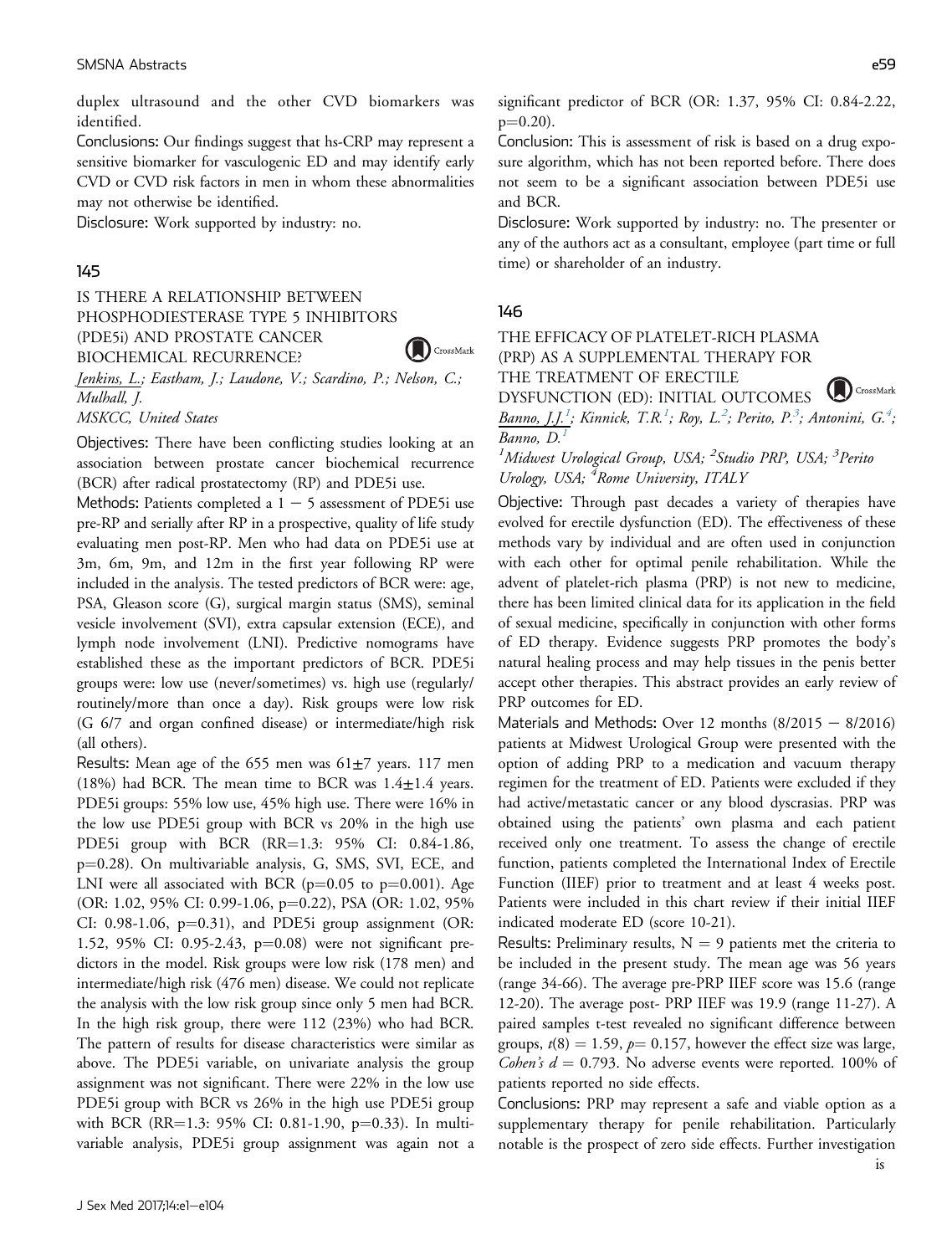duplex ultrasound and the other CVD biomarkers was identified.

Conclusions: Our findings suggest that hs-CRP may represent a sensitive biomarker for vasculogenic ED and may identify early CVD or CVD risk factors in men in whom these abnormalities may not otherwise be identified.

Disclosure: Work supported by industry: no.

#### 145

IS THERE A RELATIONSHIP BETWEEN PHOSPHODIESTERASE TYPE 5 INHIBITORS (PDE5i) AND PROSTATE CANCER  $\left(\begin{array}{c}\end{array}\right)$  CrossMark BIOCHEMICAL RECURRENCE?

Jenkins, L.; Eastham, J.; Laudone, V.; Scardino, P.; Nelson, C.; Mulhall, J.

MSKCC, United States

Objectives: There have been conflicting studies looking at an association between prostate cancer biochemical recurrence (BCR) after radical prostatectomy (RP) and PDE5i use.

Methods: Patients completed a  $1 - 5$  assessment of PDE5i use pre-RP and serially after RP in a prospective, quality of life study evaluating men post-RP. Men who had data on PDE5i use at 3m, 6m, 9m, and 12m in the first year following RP were included in the analysis. The tested predictors of BCR were: age, PSA, Gleason score (G), surgical margin status (SMS), seminal vesicle involvement (SVI), extra capsular extension (ECE), and lymph node involvement (LNI). Predictive nomograms have established these as the important predictors of BCR. PDE5i groups were: low use (never/sometimes) vs. high use (regularly/ routinely/more than once a day). Risk groups were low risk (G 6/7 and organ confined disease) or intermediate/high risk (all others).

Results: Mean age of the 655 men was  $61\pm7$  years. 117 men (18%) had BCR. The mean time to BCR was  $1.4 \pm 1.4$  years. PDE5i groups: 55% low use, 45% high use. There were 16% in the low use PDE5i group with BCR vs 20% in the high use PDE5i group with BCR  $(RR=1.3: 95\% \text{ CI: } 0.84-1.86,$ p=0.28). On multivariable analysis, G, SMS, SVI, ECE, and LNI were all associated with BCR ( $p=0.05$  to  $p=0.001$ ). Age (OR: 1.02, 95% CI: 0.99-1.06, p=0.22), PSA (OR: 1.02, 95%) CI: 0.98-1.06,  $p=0.31$ ), and PDE5i group assignment (OR: 1.52, 95% CI: 0.95-2.43,  $p=0.08$ ) were not significant predictors in the model. Risk groups were low risk (178 men) and intermediate/high risk (476 men) disease. We could not replicate the analysis with the low risk group since only 5 men had BCR. In the high risk group, there were 112 (23%) who had BCR. The pattern of results for disease characteristics were similar as above. The PDE5i variable, on univariate analysis the group assignment was not significant. There were 22% in the low use PDE5i group with BCR vs 26% in the high use PDE5i group with BCR (RR=1.3: 95% CI: 0.81-1.90, p=0.33). In multivariable analysis, PDE5i group assignment was again not a significant predictor of BCR (OR: 1.37, 95% CI: 0.84-2.22,  $p=0.20$ ).

Conclusion: This is assessment of risk is based on a drug exposure algorithm, which has not been reported before. There does not seem to be a significant association between PDE5i use and BCR.

Disclosure: Work supported by industry: no. The presenter or any of the authors act as a consultant, employee (part time or full time) or shareholder of an industry.

#### 146

### THE EFFICACY OF PLATELET-RICH PLASMA (PRP) AS A SUPPLEMENTAL THERAPY FOR THE TREATMENT OF ERECTILE

CrossMark DYSFUNCTION (ED): INITIAL OUTCOMES <u>Banno, J.J.<sup>1</sup>;</u> Kinnick, T.R.<sup>1</sup>; Roy, L.<sup>2</sup>; Perito, P.<sup>3</sup>; Antonini, G.<sup>4</sup>; Banno, D.<sup>1</sup>

<sup>1</sup>Midwest Urological Group, USA; <sup>2</sup>Studio PRP, USA; <sup>3</sup>Perito Urology, USA; <sup>4</sup>Rome University, ITALY

Objective: Through past decades a variety of therapies have evolved for erectile dysfunction (ED). The effectiveness of these methods vary by individual and are often used in conjunction with each other for optimal penile rehabilitation. While the advent of platelet-rich plasma (PRP) is not new to medicine, there has been limited clinical data for its application in the field of sexual medicine, specifically in conjunction with other forms of ED therapy. Evidence suggests PRP promotes the body's natural healing process and may help tissues in the penis better accept other therapies. This abstract provides an early review of PRP outcomes for ED.

Materials and Methods: Over 12 months  $(8/2015 - 8/2016)$ patients at Midwest Urological Group were presented with the option of adding PRP to a medication and vacuum therapy regimen for the treatment of ED. Patients were excluded if they had active/metastatic cancer or any blood dyscrasias. PRP was obtained using the patients' own plasma and each patient received only one treatment. To assess the change of erectile function, patients completed the International Index of Erectile Function (IIEF) prior to treatment and at least 4 weeks post. Patients were included in this chart review if their initial IIEF indicated moderate ED (score 10-21).

Results: Preliminary results,  $N = 9$  patients met the criteria to be included in the present study. The mean age was 56 years (range 34-66). The average pre-PRP IIEF score was 15.6 (range 12-20). The average post- PRP IIEF was 19.9 (range 11-27). A paired samples t-test revealed no significant difference between groups,  $t(8) = 1.59$ ,  $p= 0.157$ , however the effect size was large, Cohen's  $d = 0.793$ . No adverse events were reported. 100% of patients reported no side effects.

Conclusions: PRP may represent a safe and viable option as a supplementary therapy for penile rehabilitation. Particularly notable is the prospect of zero side effects. Further investigation